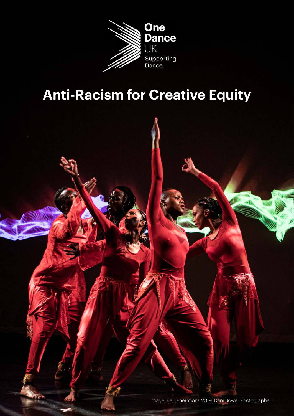

# **Anti-Racism for Creative Equity**

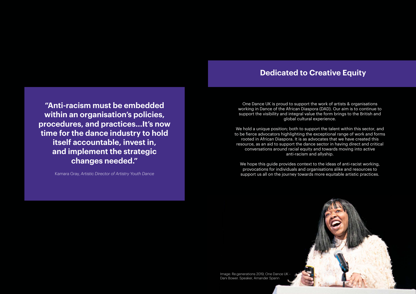One Dance UK is proud to support the work of artists & organisations working in Dance of the African Diaspora (DAD). Our aim is to continue to support the visibility and integral value the form brings to the British and global cultural experience.

We hold a unique position; both to support the talent within this sector, and to be fierce advocators highlighting the exceptional range of work and forms rooted in African Diaspora. It is as advocates that we have created this resource, as an aid to support the dance sector in having direct and critical conversations around racial equity and towards moving into active anti-racism and allyship.

We hope this guide provides context to the ideas of anti-racist working, provocations for individuals and organisations alike and resources to support us all on the journey towards more equitable artistic practices.

Image: Re:generations 2019, One Dance UK - Dani Bower. Speaker, Amander Spann

#### **Dedicated to Creative Equity**

**"Anti-racism must be embedded within an organisation's policies, procedures, and practices...It's now time for the dance industry to hold itself accountable, invest in, and implement the strategic changes needed."**

Kamara Gray, *Artistic Director of Artistry Youth Dance*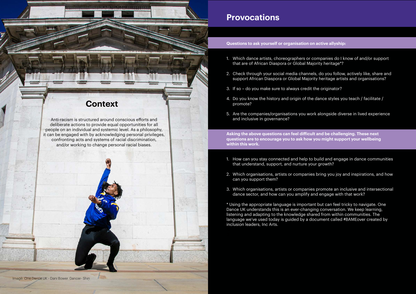Anti-racism is structured around conscious efforts and deliberate actions to provide equal opportunities for all people on an individual and systemic level. As a philosophy, it can be engaged with by acknowledging personal privileges, confronting acts and systems of racial discrimination, and/or working to change personal racial biases.

## **Context**

**MAAAA** 

**\*\*\*\*** 

#### **Provocations**

**Questions to ask yourself or organisation on active allyship:** 

- 1. Which dance artists, choreographers or companies do I know of and/or support that are of African Diaspora or Global Majority heritage\*?
- 2. Check through your social media channels, do you follow, actively like, share and support African Diaspora or Global Majority heritage artists and organisations?
- 3. If so do you make sure to always credit the originator?
- 4. Do you know the history and origin of the dance styles you teach / facilitate / promote?
- 5. Are the companies/organisations you work alongside diverse in lived experience and inclusive in governance?

**Asking the above questions can feel difficult and be challenging. These next questions are to encourage you to ask how you might support your wellbeing within this work.**

1. How can you stay connected and help to build and engage in dance communities

- that understand, support, and nurture your growth?
- 2. Which organisations, artists or companies bring you joy and inspirations, and how can you support them?
- 3. Which organisations, artists or companies promote an inclusive and intersectional dance sector, and how can you amplify and engage with that work?

\* Using the appropriate language is important but can feel tricky to navigate. One Dance UK understands this is an ever-changing conversation. We keep learning, listening and adapting to the knowledge shared from within communities. The language we've used today is guided by a document called #BAMEover created by inclusion leaders, Inc Arts.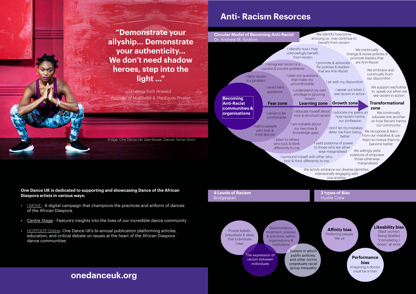**"Demonstrate your allyship... Demonstrate your authenticity... We don't need shadow heroes, step into the light …"** 

Theresa Ruth Howard *Founder of MoBBallet & The Equity Project*

**One Dance UK is dedicated to supporting and showcasing Dance of the African Diaspora artists in various ways:** 

- *• [I MOVE](https://www.onedanceuk.org/i-move-is-back/)* A digital campaign that champions the practices and artform of dances of the African Diaspora.
- [Centre Stage](https://www.onedanceuk.org/centre-stage-june-2020/)  Feature's insights into the lives of our incredible dance community
- *• HOTFOOT Online* One Dance UK's bi-annual publication platforming articles, education, and critical debate on issues at the heart of the African Diaspora dance communities

**Fear zone Learning zone Growth zone Becoming Anti-Racist communities & organisations** I deny racism is a problem I avoid hard questions I strive to be comfortable I talk to people who look & think like me I recognise racism is a current & current problems I seek out questions that make me uncomfortable I educate myself about race & structual racism I am vulrable about my own bias & knowledge gaps I listen to others who look & think differently to me I identify how I may unknowingly benefit from recism I promote & advocate for policies & leaders that are Anti-Racist I understand my own privilege in ignoring racism I sit with my discomfort I speak out when I see racism in action I educate my peers on how racism harms our profession I don't let my mistakes deter me from being We recognize & learn better I yeild positions of power to those who are otherwise marginalised I surround myself with other who look & think differently to me We identify how some amoung us may continue to benefit from recism We continually change & revise policies & promote leaders that are Anti-Racist We embrace and continually from our discomfort We support eachother to speak out when we see racism in action **Transformational zone** We continually educate one another on how Racism harms our community from our mistakes & use them to motive them to become better We willingly yeild positions of empower those otherwise marginalised We activly embarce our diverse identities, intensionally engaging with one another **4 Levels of Racism** Bridgespan **3 types of Bias** Hustle Crew **Circular Model of Becoming Anti-Racist** Dr. Andrew M. Ibrahim

> **Affinity bias** Preferring people 'like us'

**Likeability bias**

Black women being labelled "intimidating / bossy" at work

#### **Performance**

**bias** Imagining a doctor must be a man

Private beliefs, prejudices & ideas that individuals have **Discriminatory** treatment, policies & practices, within organisations & institutions The expression of racism between individuals System in which public policies, and other norms prepetuate racial group inequality

### **Anti- Racism Resorces**

#### **onedanceuk.org**

Image: One Dance UK- Dani Bower. Dancer Tamar Dixon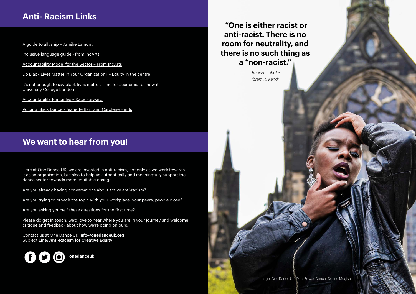[A guide to allyship – Amélie Lamont](https://guidetoallyship.com/)

[Inclusive language guide - from IncArts](https://docs.google.com/document/d/e/2PACX-1vQkg5IIoeAqMjMF6VW-eIEtEUEgK3GLudW1meE2DILbJPZYPiP0dO3Qwx6YVxBFxOhI1KEp5swpok80/pub)

[Accountability Model for the Sector – From IncArts](https://incarts.uk/unlock )

It's not enough to say black lives matter. Time for academia to show it! -[University College London](https://blogs.ucl.ac.uk/public-engagement/2020/06/21/its-not-enough-to-say-black-lives-matter-time-for-academia-to-show-it/  )

[Do Black Lives Matter in Your Organization? – Equity in the centre](https://youtu.be/tsFwDHrzcMo?t=4)

[Accountability Principles – Race Forward](https://facingrace.raceforward.org/sites/default/files/RaceForward_PugetSoundCohort_FINAL.pdf) 

[Voicing Black Dance - Jeanette Bain and Carolene Hinds](https://www.onedanceuk.org/resource/voicing-black-dance-the-british-experience-1930s-1990s-pdf/ )

Here at One Dance UK, we are invested in anti-racism, not only as we work towards it as an organisation, but also to help us authentically and meaningfully support the dance sector towards more equitable change.

Are you already having conversations about active anti-racism?

Are you trying to broach the topic with your workplace, your peers, people close?

Are you asking yourself these questions for the first time?

Please do get in touch; we'd love to hear where you are in your journey and welcome critique and feedback about how we're doing on ours.

Contact us at One Dance UK **info@onedanceuk.org** Subject Line: **Anti-Racism for Creative Equity** 

 **"One is either racist or anti-racist. There is no room for neutrality, and there is no such thing as a "non-racist."** 

> *Racism scholar Ibram X. Kendi*

## **Anti- Racism Links**

#### **We want to hear from you!**